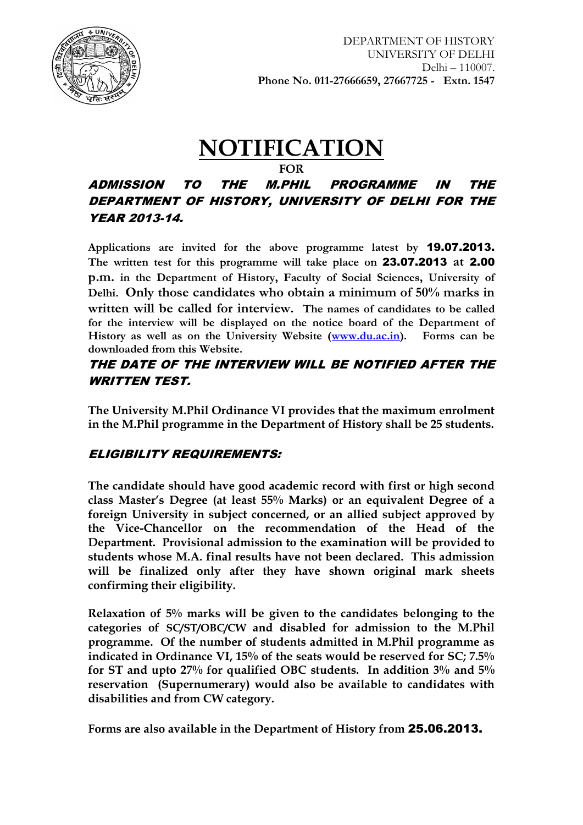

# **NOTIFICATION**

#### **FOR**

# ADMISSION TO THE M.PHIL PROGRAMME IN THE DEPARTMENT OF HISTORY, UNIVERSITY OF DELHI FOR THE YEAR 2013-14.

**Applications are invited for the above programme latest by** 19.07.2013. **The written test for this programme will take place on** 23.07.2013 **at** 2.00 **p.m. in the Department of History, Faculty of Social Sciences, University of Delhi. Only those candidates who obtain a minimum of 50% marks in written will be called for interview. The names of candidates to be called for the interview will be displayed on the notice board of the Department of History as well as on the University Website [\(www.du.ac.in\)](http://www.du.ac.in/). Forms can be downloaded from this Website.**

## THE DATE OF THE INTERVIEW WILL BE NOTIFIED AFTER THE WRITTEN TEST.

**The University M.Phil Ordinance VI provides that the maximum enrolment in the M.Phil programme in the Department of History shall be 25 students.**

# ELIGIBILITY REQUIREMENTS:

**The candidate should have good academic record with first or high second class Master's Degree (at least 55% Marks) or an equivalent Degree of a foreign University in subject concerned, or an allied subject approved by the Vice-Chancellor on the recommendation of the Head of the Department. Provisional admission to the examination will be provided to students whose M.A. final results have not been declared. This admission will be finalized only after they have shown original mark sheets confirming their eligibility.** 

**Relaxation of 5% marks will be given to the candidates belonging to the categories of SC/ST/OBC/CW and disabled for admission to the M.Phil programme. Of the number of students admitted in M.Phil programme as indicated in Ordinance VI, 15% of the seats would be reserved for SC; 7.5% for ST and upto 27% for qualified OBC students. In addition 3% and 5% reservation (Supernumerary) would also be available to candidates with disabilities and from CW category.**

**Forms are also available in the Department of History from** 25.06.2013.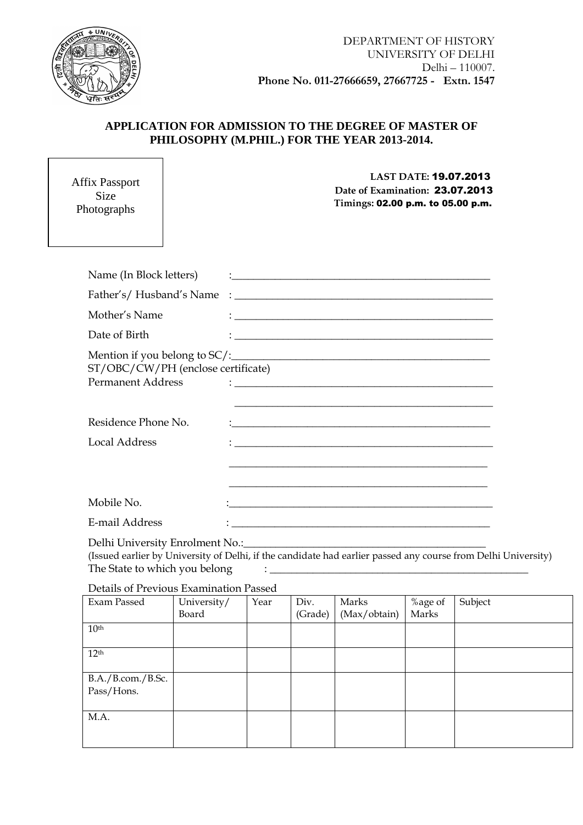

┨

#### **APPLICATION FOR ADMISSION TO THE DEGREE OF MASTER OF PHILOSOPHY (M.PHIL.) FOR THE YEAR 2013-2014.**

| <b>Affix Passport</b><br><b>Size</b><br>Photographs            | <b>LAST DATE: 19.07.2013</b><br>Date of Examination: 23.07.2013<br>Timings: 02.00 p.m. to 05.00 p.m.                                                                                                                                    |
|----------------------------------------------------------------|-----------------------------------------------------------------------------------------------------------------------------------------------------------------------------------------------------------------------------------------|
|                                                                |                                                                                                                                                                                                                                         |
| Name (In Block letters)                                        |                                                                                                                                                                                                                                         |
|                                                                |                                                                                                                                                                                                                                         |
| Mother's Name                                                  | $\mathrel{\mathop:}=$ . The contract of the contract of the contract of the contract of the contract of the contract of the contract of the contract of the contract of the contract of the contract of the contract of the contract of |
| Date of Birth                                                  |                                                                                                                                                                                                                                         |
| ST/OBC/CW/PH (enclose certificate)<br><b>Permanent Address</b> |                                                                                                                                                                                                                                         |
| Residence Phone No.                                            | <u> 1989 - Jan Samuel Barbara, margaret eta idazlea (h. 1982).</u>                                                                                                                                                                      |
| <b>Local Address</b>                                           |                                                                                                                                                                                                                                         |
|                                                                | <u> 1989 - Johann Harry Harry Harry Harry Harry Harry Harry Harry Harry Harry Harry Harry Harry Harry Harry Harry</u>                                                                                                                   |
| Mobile No.                                                     |                                                                                                                                                                                                                                         |
| E-mail Address                                                 | <u> 1989 - Johann Stoff, deutscher Stoff, der Stoff, der Stoff, der Stoff, der Stoff, der Stoff, der Stoff, der S</u>                                                                                                                   |
| Delhi University Enrolment No.:                                | <u> 1989 - Johann Barn, mars and de Brasilian (b. 1989)</u>                                                                                                                                                                             |

(Issued earlier by University of Delhi, if the candidate had earlier passed any course from Delhi University) The State to which you belong  $\qquad \qquad : \_$ 

#### Details of Previous Examination Passed

| Exam Passed       | University/ | Year | Div.    | Marks        | %age of | Subject |
|-------------------|-------------|------|---------|--------------|---------|---------|
|                   | Board       |      | (Grade) | (Max/obtain) | Marks   |         |
| 10 <sup>th</sup>  |             |      |         |              |         |         |
|                   |             |      |         |              |         |         |
| 12 <sup>th</sup>  |             |      |         |              |         |         |
|                   |             |      |         |              |         |         |
| B.A./B.com./B.Sc. |             |      |         |              |         |         |
| Pass/Hons.        |             |      |         |              |         |         |
|                   |             |      |         |              |         |         |
| M.A.              |             |      |         |              |         |         |
|                   |             |      |         |              |         |         |
|                   |             |      |         |              |         |         |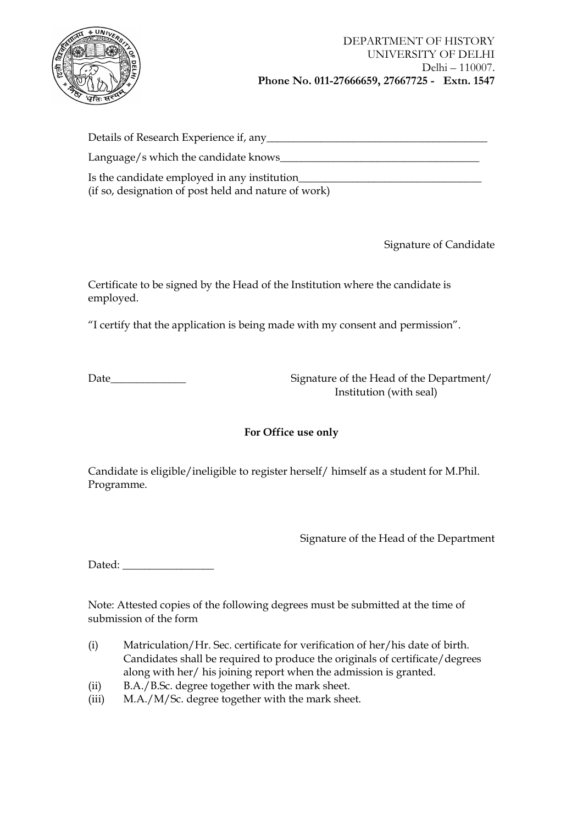

| Details of Research Experience if, any               |
|------------------------------------------------------|
| Language/s which the candidate knows_                |
| Is the candidate employed in any institution_        |
| (if so, designation of post held and nature of work) |

Signature of Candidate

Certificate to be signed by the Head of the Institution where the candidate is employed.

"I certify that the application is being made with my consent and permission".

Date\_\_\_\_\_\_\_\_\_\_\_\_\_\_ Signature of the Head of the Department/ Institution (with seal)

#### **For Office use only**

Candidate is eligible/ineligible to register herself/ himself as a student for M.Phil. Programme.

Signature of the Head of the Department

Dated:

Note: Attested copies of the following degrees must be submitted at the time of submission of the form

- (i) Matriculation/Hr. Sec. certificate for verification of her/his date of birth. Candidates shall be required to produce the originals of certificate/degrees along with her/ his joining report when the admission is granted.
- (ii) B.A./B.Sc. degree together with the mark sheet.
- (iii) M.A./M/Sc. degree together with the mark sheet.